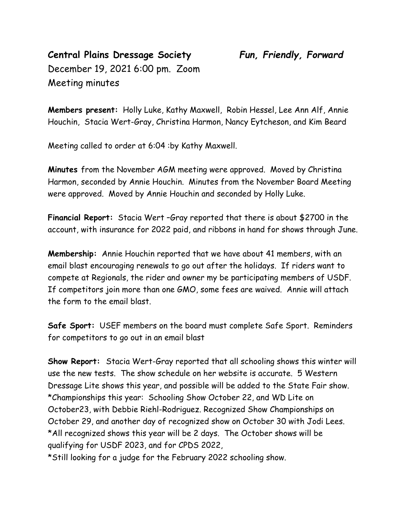## **Central Plains Dressage Society** *Fun, Friendly, Forward* December 19, 2021 6:00 pm. Zoom Meeting minutes

**Members present:** Holly Luke, Kathy Maxwell, Robin Hessel, Lee Ann Alf, Annie Houchin, Stacia Wert-Gray, Christina Harmon, Nancy Eytcheson, and Kim Beard

Meeting called to order at 6:04 :by Kathy Maxwell.

**Minutes** from the November AGM meeting were approved. Moved by Christina Harmon, seconded by Annie Houchin. Minutes from the November Board Meeting were approved. Moved by Annie Houchin and seconded by Holly Luke.

**Financial Report:** Stacia Wert –Gray reported that there is about \$2700 in the account, with insurance for 2022 paid, and ribbons in hand for shows through June.

**Membership:** Annie Houchin reported that we have about 41 members, with an email blast encouraging renewals to go out after the holidays. If riders want to compete at Regionals, the rider and owner my be participating members of USDF. If competitors join more than one GMO, some fees are waived. Annie will attach the form to the email blast.

**Safe Sport:** USEF members on the board must complete Safe Sport. Reminders for competitors to go out in an email blast

**Show Report:** Stacia Wert-Gray reported that all schooling shows this winter will use the new tests. The show schedule on her website is accurate. 5 Western Dressage Lite shows this year, and possible will be added to the State Fair show. \*Championships this year: Schooling Show October 22, and WD Lite on October23, with Debbie Riehl-Rodriguez. Recognized Show Championships on October 29, and another day of recognized show on October 30 with Jodi Lees. \*All recognized shows this year will be 2 days. The October shows will be qualifying for USDF 2023, and for CPDS 2022,

\*Still looking for a judge for the February 2022 schooling show.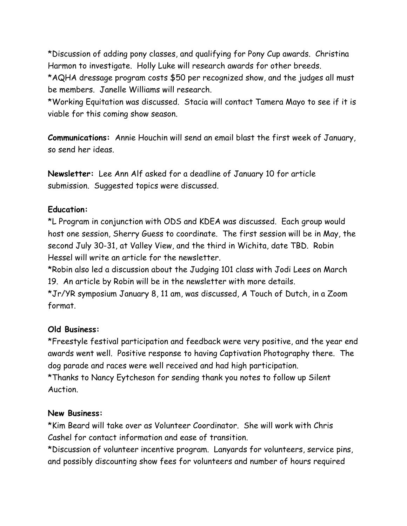\*Discussion of adding pony classes, and qualifying for Pony Cup awards. Christina Harmon to investigate. Holly Luke will research awards for other breeds.

\*AQHA dressage program costs \$50 per recognized show, and the judges all must be members. Janelle Williams will research.

\*Working Equitation was discussed. Stacia will contact Tamera Mayo to see if it is viable for this coming show season.

**Communications:** Annie Houchin will send an email blast the first week of January, so send her ideas.

**Newsletter:** Lee Ann Alf asked for a deadline of January 10 for article submission. Suggested topics were discussed.

## **Education:**

\*L Program in conjunction with ODS and KDEA was discussed. Each group would host one session, Sherry Guess to coordinate. The first session will be in May, the second July 30-31, at Valley View, and the third in Wichita, date TBD. Robin Hessel will write an article for the newsletter.

\*Robin also led a discussion about the Judging 101 class with Jodi Lees on March 19. An article by Robin will be in the newsletter with more details.

\*Jr/YR symposium January 8, 11 am, was discussed, A Touch of Dutch, in a Zoom format.

## **Old Business:**

\*Freestyle festival participation and feedback were very positive, and the year end awards went well. Positive response to having Captivation Photography there. The dog parade and races were well received and had high participation. \*Thanks to Nancy Eytcheson for sending thank you notes to follow up Silent Auction.

## **New Business:**

\*Kim Beard will take over as Volunteer Coordinator. She will work with Chris Cashel for contact information and ease of transition.

\*Discussion of volunteer incentive program. Lanyards for volunteers, service pins, and possibly discounting show fees for volunteers and number of hours required